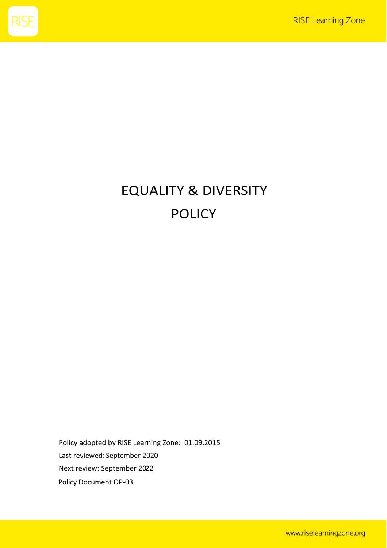

# **EQUALITY & DIVERSITY POLICY**

Policy adopted by RISE Learning Zone: 01.09.2015 Last reviewed: September 2020 Next review: September 2022 Policy Document OP-03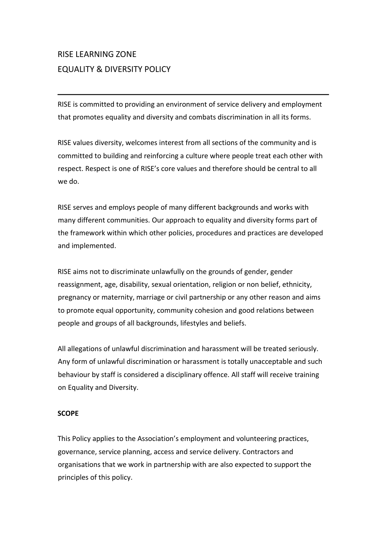# RISE LEARNING ZONE EQUALITY & DIVERSITY POLICY

RISE is committed to providing an environment of service delivery and employment that promotes equality and diversity and combats discrimination in all its forms.

RISE values diversity, welcomes interest from all sections of the community and is committed to building and reinforcing a culture where people treat each other with respect. Respect is one of RISE's core values and therefore should be central to all we do.

RISE serves and employs people of many different backgrounds and works with many different communities. Our approach to equality and diversity forms part of the framework within which other policies, procedures and practices are developed and implemented.

RISE aims not to discriminate unlawfully on the grounds of gender, gender reassignment, age, disability, sexual orientation, religion or non belief, ethnicity, pregnancy or maternity, marriage or civil partnership or any other reason and aims to promote equal opportunity, community cohesion and good relations between people and groups of all backgrounds, lifestyles and beliefs.

All allegations of unlawful discrimination and harassment will be treated seriously. Any form of unlawful discrimination or harassment is totally unacceptable and such behaviour by staff is considered a disciplinary offence. All staff will receive training on Equality and Diversity.

# **SCOPE**

This Policy applies to the Association's employment and volunteering practices, governance, service planning, access and service delivery. Contractors and organisations that we work in partnership with are also expected to support the principles of this policy.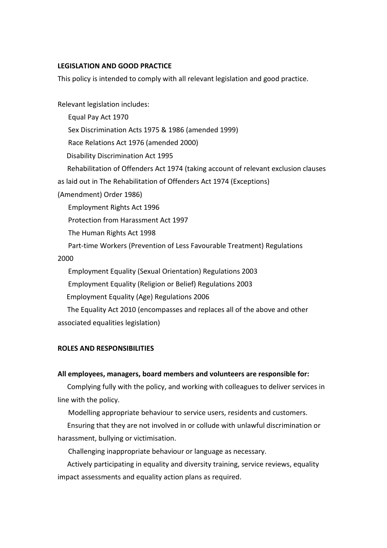# **LEGISLATION AND GOOD PRACTICE**

This policy is intended to comply with all relevant legislation and good practice.

Relevant legislation includes: Equal Pay Act 1970 Sex Discrimination Acts 1975 & 1986 (amended 1999) Race Relations Act 1976 (amended 2000) Disability Discrimination Act 1995 Rehabilitation of Offenders Act 1974 (taking account of relevant exclusion clauses as laid out in The Rehabilitation of Offenders Act 1974 (Exceptions) (Amendment) Order 1986) Employment Rights Act 1996 Protection from Harassment Act 1997 The Human Rights Act 1998 Part-time Workers (Prevention of Less Favourable Treatment) Regulations 2000 Employment Equality (Sexual Orientation) Regulations 2003 Employment Equality (Religion or Belief) Regulations 2003 Employment Equality (Age) Regulations 2006 The Equality Act 2010 (encompasses and replaces all of the above and other

associated equalities legislation)

## **ROLES AND RESPONSIBILITIES**

## **All employees, managers, board members and volunteers are responsible for:**

Complying fully with the policy, and working with colleagues to deliver services in line with the policy.

Modelling appropriate behaviour to service users, residents and customers.

Ensuring that they are not involved in or collude with unlawful discrimination or harassment, bullying or victimisation.

Challenging inappropriate behaviour or language as necessary.

Actively participating in equality and diversity training, service reviews, equality impact assessments and equality action plans as required.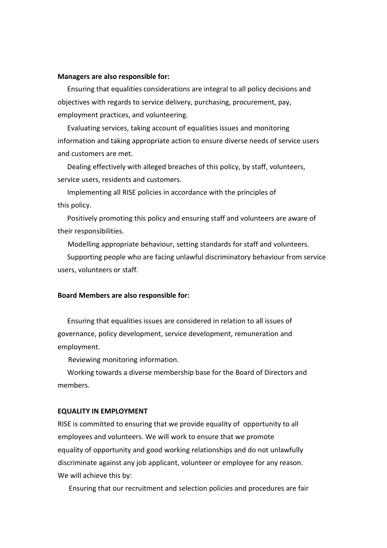#### **Managers are also responsible for:**

Ensuring that equalities considerations are integral to all policy decisions and objectives with regards to service delivery, purchasing, procurement, pay, employment practices, and volunteering.

Evaluating services, taking account of equalities issues and monitoring information and taking appropriate action to ensure diverse needs of service users and customers are met.

Dealing effectively with alleged breaches of this policy, by staff, volunteers, service users, residents and customers.

Implementing all RISE policies in accordance with the principles of this policy.

Positively promoting this policy and ensuring staff and volunteers are aware of their responsibilities.

Modelling appropriate behaviour, setting standards for staff and volunteers.

Supporting people who are facing unlawful discriminatory behaviour from service users, volunteers or staff.

#### **Board Members are also responsible for:**

Ensuring that equalities issues are considered in relation to all issues of governance, policy development, service development, remuneration and employment.

Reviewing monitoring information.

Working towards a diverse membership base for the Board of Directors and members.

#### **EQUALITY IN EMPLOYMENT**

RISE is committed to ensuring that we provide equality of opportunity to all employees and volunteers. We will work to ensure that we promote equality of opportunity and good working relationships and do not unlawfully discriminate against any job applicant, volunteer or employee for any reason. We will achieve this by:

Ensuring that our recruitment and selection policies and procedures are fair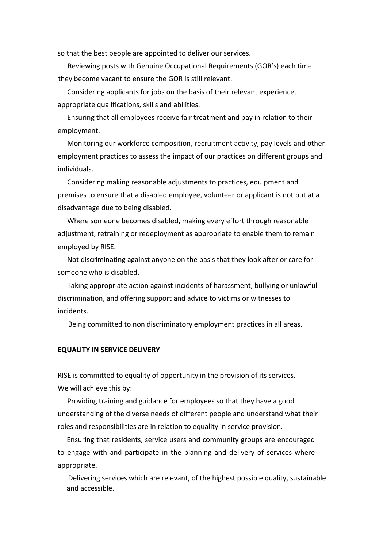so that the best people are appointed to deliver our services.

Reviewing posts with Genuine Occupational Requirements (GOR's) each time they become vacant to ensure the GOR is still relevant.

Considering applicants for jobs on the basis of their relevant experience, appropriate qualifications, skills and abilities.

Ensuring that all employees receive fair treatment and pay in relation to their employment.

Monitoring our workforce composition, recruitment activity, pay levels and other employment practices to assess the impact of our practices on different groups and individuals.

Considering making reasonable adjustments to practices, equipment and premises to ensure that a disabled employee, volunteer or applicant is not put at a disadvantage due to being disabled.

Where someone becomes disabled, making every effort through reasonable adjustment, retraining or redeployment as appropriate to enable them to remain employed by RISE.

Not discriminating against anyone on the basis that they look after or care for someone who is disabled.

Taking appropriate action against incidents of harassment, bullying or unlawful discrimination, and offering support and advice to victims or witnesses to incidents.

Being committed to non discriminatory employment practices in all areas.

#### **EQUALITY IN SERVICE DELIVERY**

RISE is committed to equality of opportunity in the provision of its services. We will achieve this by:

Providing training and guidance for employees so that they have a good understanding of the diverse needs of different people and understand what their roles and responsibilities are in relation to equality in service provision.

Ensuring that residents, service users and community groups are encouraged to engage with and participate in the planning and delivery of services where appropriate.

Delivering services which are relevant, of the highest possible quality, sustainable and accessible.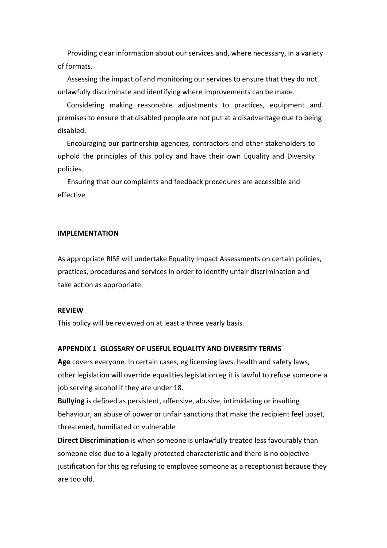Providing clear information about our services and, where necessary, in a variety of formats.

Assessing the impact of and monitoring our services to ensure that they do not unlawfully discriminate and identifying where improvements can be made.

Considering making reasonable adjustments to practices, equipment and premises to ensure that disabled people are not put at a disadvantage due to being disabled.

Encouraging our partnership agencies, contractors and other stakeholders to uphold the principles of this policy and have their own Equality and Diversity policies.

Ensuring that our complaints and feedback procedures are accessible and effective

#### **IMPLEMENTATION**

As appropriate RISE will undertake Equality Impact Assessments on certain policies, practices, procedures and services in order to identify unfair discrimination and take action as appropriate.

#### **REVIEW**

This policy will be reviewed on at least a three yearly basis.

#### **APPENDIX 1 GLOSSARY OF USEFUL EQUALITY AND DIVERSITY TERMS**

**Age** covers everyone. In certain cases, eg licensing laws, health and safety laws, other legislation will override equalities legislation eg it is lawful to refuse someone a job serving alcohol if they are under 18.

**Bullying** is defined as persistent, offensive, abusive, intimidating or insulting behaviour, an abuse of power or unfair sanctions that make the recipient feel upset, threatened, humiliated or vulnerable

**Direct Discrimination** is when someone is unlawfully treated less favourably than someone else due to a legally protected characteristic and there is no objective justification for this eg refusing to employee someone as a receptionist because they are too old.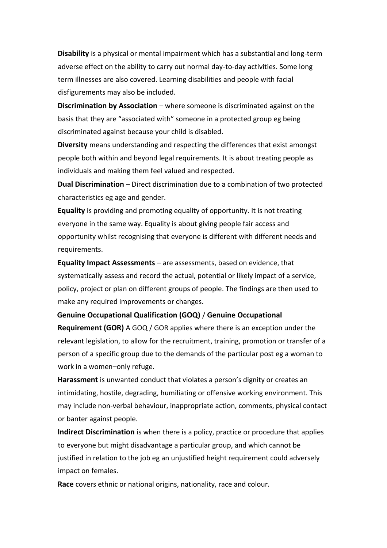**Disability** is a physical or mental impairment which has a substantial and long-term adverse effect on the ability to carry out normal day-to-day activities. Some long term illnesses are also covered. Learning disabilities and people with facial disfigurements may also be included.

**Discrimination by Association** – where someone is discriminated against on the basis that they are "associated with" someone in a protected group eg being discriminated against because your child is disabled.

**Diversity** means understanding and respecting the differences that exist amongst people both within and beyond legal requirements. It is about treating people as individuals and making them feel valued and respected.

**Dual Discrimination** – Direct discrimination due to a combination of two protected characteristics eg age and gender.

**Equality** is providing and promoting equality of opportunity. It is not treating everyone in the same way. Equality is about giving people fair access and opportunity whilst recognising that everyone is different with different needs and requirements.

**Equality Impact Assessments** – are assessments, based on evidence, that systematically assess and record the actual, potential or likely impact of a service, policy, project or plan on different groups of people. The findings are then used to make any required improvements or changes.

**Genuine Occupational Qualification (GOQ)** / **Genuine Occupational** 

**Requirement (GOR)** A GOQ / GOR applies where there is an exception under the relevant legislation, to allow for the recruitment, training, promotion or transfer of a person of a specific group due to the demands of the particular post eg a woman to work in a women–only refuge.

**Harassment** is unwanted conduct that violates a person's dignity or creates an intimidating, hostile, degrading, humiliating or offensive working environment. This may include non-verbal behaviour, inappropriate action, comments, physical contact or banter against people.

**Indirect Discrimination** is when there is a policy, practice or procedure that applies to everyone but might disadvantage a particular group, and which cannot be justified in relation to the job eg an unjustified height requirement could adversely impact on females.

**Race** covers ethnic or national origins, nationality, race and colour.